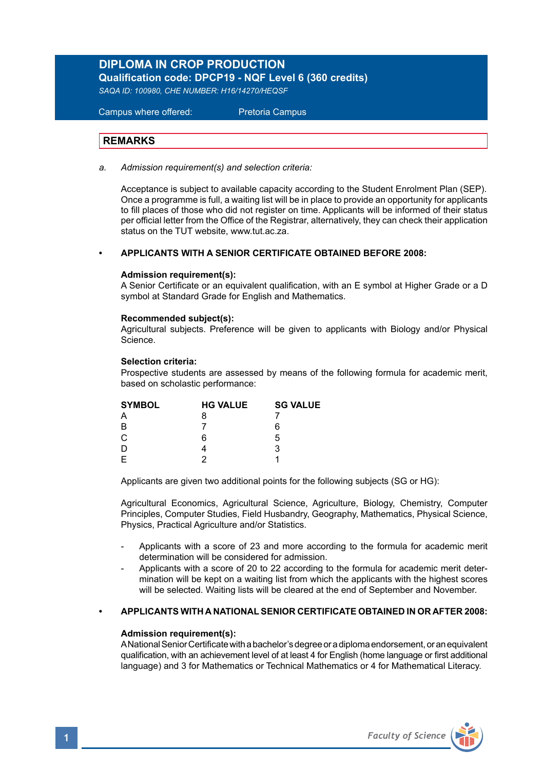# **DIPLOMA IN CROP PRODUCTION**

**Qualification code: DPCP19 - NQF Level 6 (360 credits)** 

*SAQA ID: 100980, CHE NUMBER: H16/14270/HEQSF*

Campus where offered: Pretoria Campus

# **REMARKS**

*a. Admission requirement(s) and selection criteria:* 

 Acceptance is subject to available capacity according to the Student Enrolment Plan (SEP). Once a programme is full, a waiting list will be in place to provide an opportunity for applicants to fill places of those who did not register on time. Applicants will be informed of their status per official letter from the Office of the Registrar, alternatively, they can check their application status on the TUT website, www.tut.ac.za.

## **• APPLICANTS WITH A SENIOR CERTIFICATE OBTAINED BEFORE 2008:**

## **Admission requirement(s):**

A Senior Certificate or an equivalent qualification, with an E symbol at Higher Grade or a D symbol at Standard Grade for English and Mathematics.

## **Recommended subject(s):**

Agricultural subjects. Preference will be given to applicants with Biology and/or Physical Science.

## **Selection criteria:**

Prospective students are assessed by means of the following formula for academic merit, based on scholastic performance:

| <b>SYMBOL</b> | <b>HG VALUE</b> | <b>SG VALUE</b> |  |
|---------------|-----------------|-----------------|--|
| А             | 8               |                 |  |
| B             |                 | 6               |  |
| $\mathsf{C}$  | 6               | 5               |  |
|               |                 | 3               |  |
| E             |                 |                 |  |

Applicants are given two additional points for the following subjects (SG or HG):

Agricultural Economics, Agricultural Science, Agriculture, Biology, Chemistry, Computer Principles, Computer Studies, Field Husbandry, Geography, Mathematics, Physical Science, Physics, Practical Agriculture and/or Statistics.

- Applicants with a score of 23 and more according to the formula for academic merit determination will be considered for admission.
- Applicants with a score of 20 to 22 according to the formula for academic merit determination will be kept on a waiting list from which the applicants with the highest scores will be selected. Waiting lists will be cleared at the end of September and November.

# **• APPLICANTS WITH A NATIONAL SENIOR CERTIFICATE OBTAINED IN OR AFTER 2008:**

## **Admission requirement(s):**

A National Senior Certificate with a bachelor's degree or a diploma endorsement, or an equivalent qualification, with an achievement level of at least 4 for English (home language or first additional language) and 3 for Mathematics or Technical Mathematics or 4 for Mathematical Literacy.

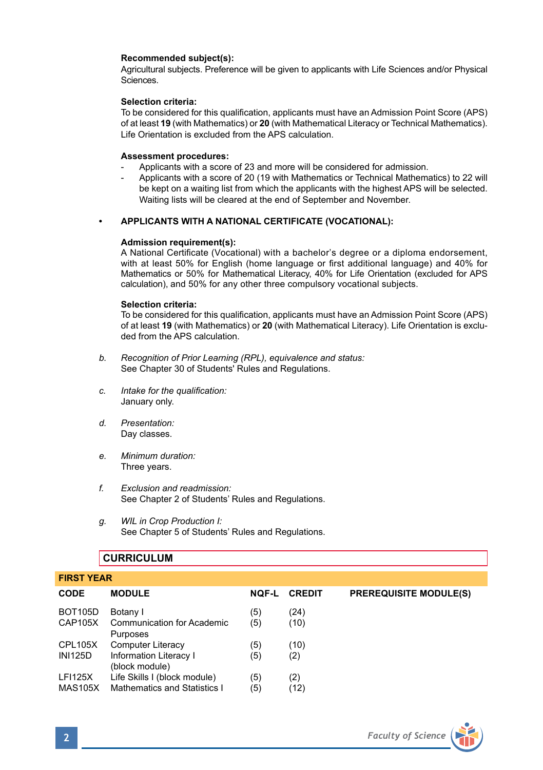# **Recommended subject(s):**

Agricultural subjects. Preference will be given to applicants with Life Sciences and/or Physical Sciences.

## **Selection criteria:**

To be considered for this qualification, applicants must have an Admission Point Score (APS) of at least **19** (with Mathematics) or **20** (with Mathematical Literacy or Technical Mathematics). Life Orientation is excluded from the APS calculation.

### **Assessment procedures:**

- Applicants with a score of 23 and more will be considered for admission.
- Applicants with a score of 20 (19 with Mathematics or Technical Mathematics) to 22 will be kept on a waiting list from which the applicants with the highest APS will be selected. Waiting lists will be cleared at the end of September and November.

## **• APPLICANTS WITH A NATIONAL CERTIFICATE (VOCATIONAL):**

# **Admission requirement(s):**

A National Certificate (Vocational) with a bachelor's degree or a diploma endorsement, with at least 50% for English (home language or first additional language) and 40% for Mathematics or 50% for Mathematical Literacy, 40% for Life Orientation (excluded for APS calculation), and 50% for any other three compulsory vocational subjects.

### **Selection criteria:**

To be considered for this qualification, applicants must have an Admission Point Score (APS) of at least **19** (with Mathematics) or **20** (with Mathematical Literacy). Life Orientation is excluded from the APS calculation.

- *b. Recognition of Prior Learning (RPL), equivalence and status:* See Chapter 30 of Students' Rules and Regulations.
- *c. Intake for the qualification:* January only.
- *d. Presentation:* Day classes.
- *e. Minimum duration:* Three years.
- *f. Exclusion and readmission:* See Chapter 2 of Students' Rules and Regulations.
- *g. WIL in Crop Production I:* See Chapter 5 of Students' Rules and Regulations.

# **CURRICULUM**

| <b>FIRST YEAR</b> |                                               |              |               |                               |  |
|-------------------|-----------------------------------------------|--------------|---------------|-------------------------------|--|
| <b>CODE</b>       | <b>MODULE</b>                                 | <b>NOF-L</b> | <b>CREDIT</b> | <b>PREREQUISITE MODULE(S)</b> |  |
| <b>BOT105D</b>    | Botany I                                      | (5)          | (24)          |                               |  |
| CAP105X           | <b>Communication for Academic</b><br>Purposes | (5)          | (10)          |                               |  |
| CPL105X           | Computer Literacy                             | (5)          | (10)          |                               |  |
| <b>INI125D</b>    | Information Literacy I<br>(block module)      | (5)          | (2)           |                               |  |
| <b>LFI125X</b>    | Life Skills I (block module)                  | (5)          | (2)           |                               |  |
| <b>MAS105X</b>    | Mathematics and Statistics I                  | (5)          | (12)          |                               |  |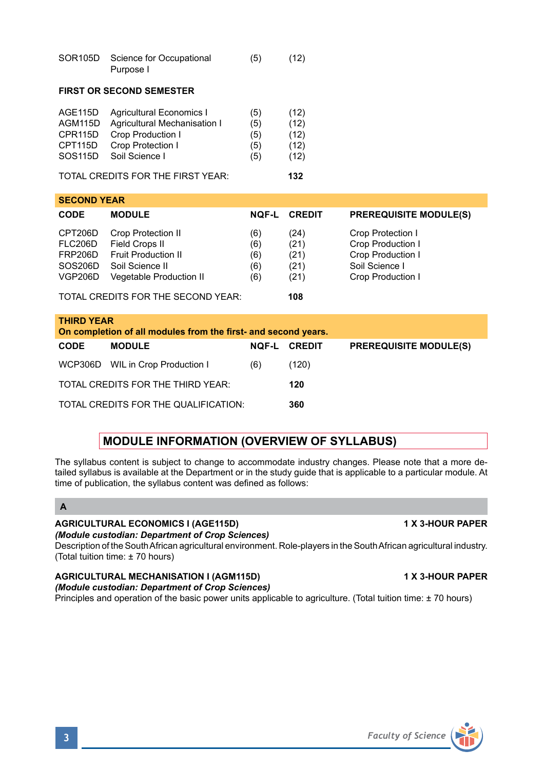| <b>MODULE INFORMATION (OVERVIEW OF SYLLABUS)</b>                                                                                                                                                                                                                                                  |
|---------------------------------------------------------------------------------------------------------------------------------------------------------------------------------------------------------------------------------------------------------------------------------------------------|
| The syllabus content is subject to change to accommodate industry changes. Please note that a more de-<br>tailed syllabus is available at the Department or in the study quide that is applicable to a particular module. At<br>time of publication, the syllabus content was defined as follows: |
|                                                                                                                                                                                                                                                                                                   |

# **AGRICULTURAL ECONOMICS I (AGE115D) 1 X 3-HOUR PAPER**

*(Module custodian: Department of Crop Sciences)*

TOTAL CREDITS FOR THE THIRD YEAR: **120** TOTAL CREDITS FOR THE QUALIFICATION: **360**

Description of the South African agricultural environment. Role-players in the South African agricultural industry. (Total tuition time: ± 70 hours)

**AGRICULTURAL MECHANISATION I (AGM115D) 1 X 3-HOUR PAPER** *(Module custodian: Department of Crop Sciences)*

Principles and operation of the basic power units applicable to agriculture. (Total tuition time: ± 70 hours)

| industry changes. Please note that a    |  |  |  |
|-----------------------------------------|--|--|--|
| uide that is applicable to a particular |  |  |  |

| <b>CODE</b>                                                                         | <b>MODULE</b>                                                                                                           | <b>NOF-L</b>                    | <b>CREDIT</b>                        | <b>PREREQUISITE MODULE(S)</b>                                                                             |
|-------------------------------------------------------------------------------------|-------------------------------------------------------------------------------------------------------------------------|---------------------------------|--------------------------------------|-----------------------------------------------------------------------------------------------------------|
| CPT206D<br>FLC206D<br>FRP206D<br>SOS206D<br><b>VGP206D</b>                          | <b>Crop Protection II</b><br>Field Crops II<br><b>Fruit Production II</b><br>Soil Science II<br>Vegetable Production II | (6)<br>(6)<br>(6)<br>(6)<br>(6) | (24)<br>(21)<br>(21)<br>(21)<br>(21) | Crop Protection I<br><b>Crop Production I</b><br>Crop Production I<br>Soil Science I<br>Crop Production I |
|                                                                                     | TOTAL CREDITS FOR THE SECOND YEAR:                                                                                      |                                 | 108                                  |                                                                                                           |
| <b>THIRD YEAR</b><br>On completion of all modules from the first- and second years. |                                                                                                                         |                                 |                                      |                                                                                                           |
| <b>CODE</b>                                                                         | <b>MODULE</b>                                                                                                           | <b>NOF-L</b>                    | <b>CREDIT</b>                        | <b>PREREQUISITE MODULE(S)</b>                                                                             |
| WCP306D                                                                             | WIL in Crop Production I                                                                                                | (6)                             | (120)                                |                                                                                                           |

# **FIRST OR SECOND SEMESTER** AGE115D Agricultural Economics I (5) (12)<br>AGM115D Agricultural Mechanisation I (5) (12) AGM115D Agricultural Mechanisation I (5) (12)<br>CPR115D Crop Production I (5) (12) CPR115D Crop Production I<br>CPT115D Crop Protection I Crop Protection I (5) (12)<br>Soil Science I (5) (12)

TOTAL CREDITS FOR THE FIRST YEAR: **132**

Purpose I

SOS115D Soil Science L

**SECOND YEAR** 

SOR105D Science for Occupational (5) (12)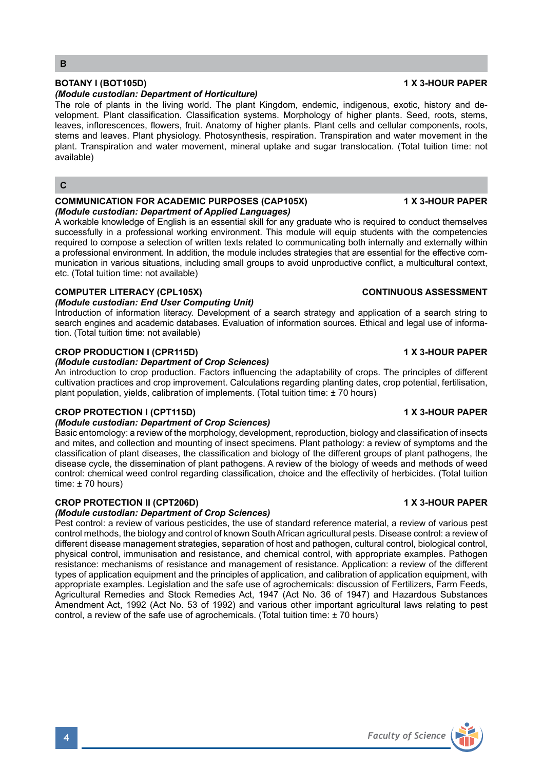# **BOTANY I (BOT105D) 1 X 3-HOUR PAPER**

## *(Module custodian: Department of Horticulture)*

The role of plants in the living world. The plant Kingdom, endemic, indigenous, exotic, history and development. Plant classification. Classification systems. Morphology of higher plants. Seed, roots, stems, leaves, inflorescences, flowers, fruit. Anatomy of higher plants. Plant cells and cellular components, roots, stems and leaves. Plant physiology. Photosynthesis, respiration. Transpiration and water movement in the plant. Transpiration and water movement, mineral uptake and sugar translocation. (Total tuition time: not available)

# **C**

# **COMMUNICATION FOR ACADEMIC PURPOSES (CAP105X) 1 X 3-HOUR PAPER**

*(Module custodian: Department of Applied Languages)* 

A workable knowledge of English is an essential skill for any graduate who is required to conduct themselves successfully in a professional working environment. This module will equip students with the competencies required to compose a selection of written texts related to communicating both internally and externally within a professional environment. In addition, the module includes strategies that are essential for the effective communication in various situations, including small groups to avoid unproductive conflict, a multicultural context, etc. (Total tuition time: not available)

# **COMPUTER LITERACY (CPL105X)** COMPUTER LITERACY (CPL105X)

# *(Module custodian: End User Computing Unit)*

Introduction of information literacy. Development of a search strategy and application of a search string to search engines and academic databases. Evaluation of information sources. Ethical and legal use of information. (Total tuition time: not available)

## **CROP PRODUCTION I (CPR115D) 1 X 3-HOUR PAPER**

## *(Module custodian: Department of Crop Sciences)*

An introduction to crop production. Factors influencing the adaptability of crops. The principles of different cultivation practices and crop improvement. Calculations regarding planting dates, crop potential, fertilisation, plant population, yields, calibration of implements. (Total tuition time: ± 70 hours)

# **CROP PROTECTION I (CPT115D) 1 X 3-HOUR PAPER**

## *(Module custodian: Department of Crop Sciences)*

Basic entomology: a review of the morphology, development, reproduction, biology and classification of insects and mites, and collection and mounting of insect specimens. Plant pathology: a review of symptoms and the classification of plant diseases, the classification and biology of the different groups of plant pathogens, the disease cycle, the dissemination of plant pathogens. A review of the biology of weeds and methods of weed control: chemical weed control regarding classification, choice and the effectivity of herbicides. (Total tuition time: ± 70 hours)

# **CROP PROTECTION II (CPT206D) 1 X 3-HOUR PAPER**

# *(Module custodian: Department of Crop Sciences)*

Pest control: a review of various pesticides, the use of standard reference material, a review of various pest control methods, the biology and control of known South African agricultural pests. Disease control: a review of different disease management strategies, separation of host and pathogen, cultural control, biological control, physical control, immunisation and resistance, and chemical control, with appropriate examples. Pathogen resistance: mechanisms of resistance and management of resistance. Application: a review of the different types of application equipment and the principles of application, and calibration of application equipment, with appropriate examples. Legislation and the safe use of agrochemicals: discussion of Fertilizers, Farm Feeds, Agricultural Remedies and Stock Remedies Act, 1947 (Act No. 36 of 1947) and Hazardous Substances Amendment Act, 1992 (Act No. 53 of 1992) and various other important agricultural laws relating to pest control, a review of the safe use of agrochemicals. (Total tuition time: ± 70 hours)

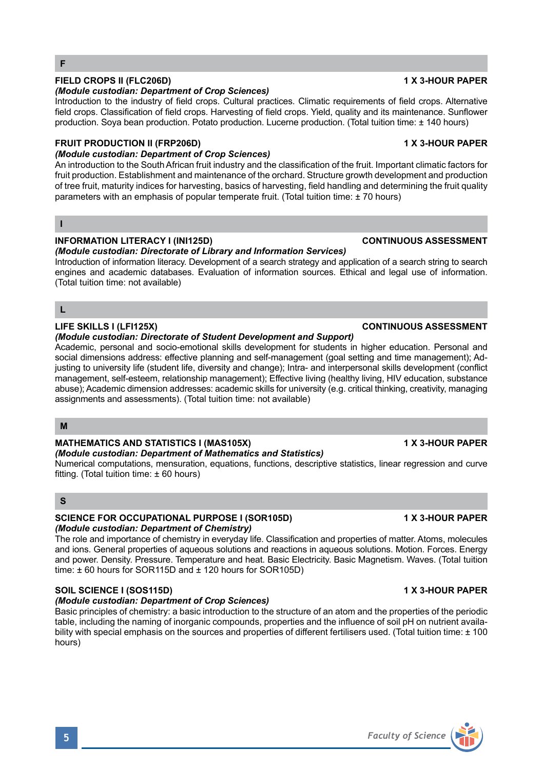# **FIELD CROPS II (FLC206D) 1 X 3-HOUR PAPER**

# *(Module custodian: Department of Crop Sciences)*

Introduction to the industry of field crops. Cultural practices. Climatic requirements of field crops. Alternative field crops. Classification of field crops. Harvesting of field crops. Yield, quality and its maintenance. Sunflower production. Soya bean production. Potato production. Lucerne production. (Total tuition time: ± 140 hours)

## **FRUIT PRODUCTION II (FRP206D) 1 X 3-HOUR PAPER**

# *(Module custodian: Department of Crop Sciences)*

An introduction to the South African fruit industry and the classification of the fruit. Important climatic factors for fruit production. Establishment and maintenance of the orchard. Structure growth development and production of tree fruit, maturity indices for harvesting, basics of harvesting, field handling and determining the fruit quality parameters with an emphasis of popular temperate fruit. (Total tuition time: ± 70 hours)

## **I**

**F**

# **INFORMATION LITERACY I (INI125D) CONTINUOUS ASSESSMENT**

*(Module custodian: Directorate of Library and Information Services)* Introduction of information literacy. Development of a search strategy and application of a search string to search

engines and academic databases. Evaluation of information sources. Ethical and legal use of information. (Total tuition time: not available)

# **L**

# **LIFE SKILLS I (LFI125X) CONTINUOUS ASSESSMENT**

*(Module custodian: Directorate of Student Development and Support)*

Academic, personal and socio-emotional skills development for students in higher education. Personal and social dimensions address: effective planning and self-management (goal setting and time management); Adjusting to university life (student life, diversity and change); Intra- and interpersonal skills development (conflict management, self-esteem, relationship management); Effective living (healthy living, HIV education, substance abuse); Academic dimension addresses: academic skills for university (e.g. critical thinking, creativity, managing assignments and assessments). (Total tuition time: not available)

## **M**

# MATHEMATICS AND STATISTICS I (MAS105X) **1 X 3-HOUR PAPER**

### *(Module custodian: Department of Mathematics and Statistics)*

Numerical computations, mensuration, equations, functions, descriptive statistics, linear regression and curve fitting. (Total tuition time: ± 60 hours)

## **S**

## **SCIENCE FOR OCCUPATIONAL PURPOSE I (SOR105D) 1 X 3-HOUR PAPER** *(Module custodian: Department of Chemistry)*

The role and importance of chemistry in everyday life. Classification and properties of matter. Atoms, molecules and ions. General properties of aqueous solutions and reactions in aqueous solutions. Motion. Forces. Energy and power. Density. Pressure. Temperature and heat. Basic Electricity. Basic Magnetism. Waves. (Total tuition time: ± 60 hours for SOR115D and ± 120 hours for SOR105D)

# **SOIL SCIENCE I (SOS115D) 1 X 3-HOUR PAPER**

## *(Module custodian: Department of Crop Sciences)*

Basic principles of chemistry: a basic introduction to the structure of an atom and the properties of the periodic table, including the naming of inorganic compounds, properties and the influence of soil pH on nutrient availability with special emphasis on the sources and properties of different fertilisers used. (Total tuition time: ± 100 hours)